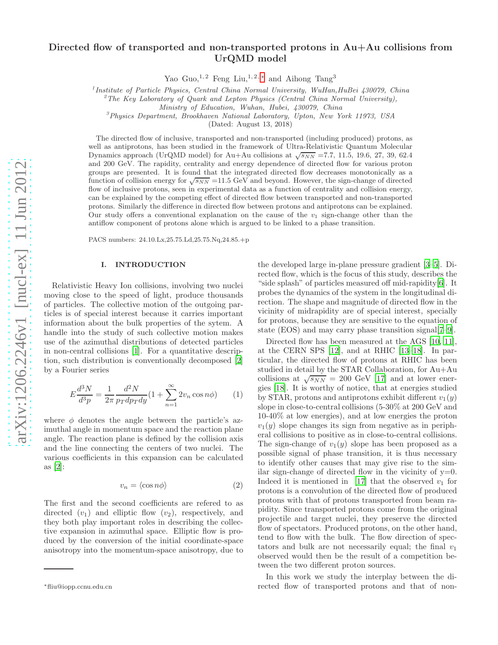# Directed flow of transported and non-transported protons in Au+Au collisions from UrQMD model

Yao Guo,<sup>1,2</sup> Feng Liu,<sup>1,2,\*</sup> and Aihong Tang<sup>3</sup>

<sup>1</sup> Institute of Particle Physics, Central China Normal University, WuHan, HuBei 430079, China

<sup>2</sup>The Key Laboratory of Quark and Lepton Physics (Central China Normal University),

Ministry of Education, Wuhan, Hubei, 430079, China

<sup>3</sup>Physics Department, Brookhaven National Laboratory, Upton, New York 11973, USA

(Dated: August 13, 2018)

The directed flow of inclusive, transported and non-transported (including produced) protons, as well as antiprotons, has been studied in the framework of Ultra-Relativistic Quantum Molecular Dynamics approach (UrQMD model) for Au+Au collisions at  $\sqrt{s_{NN}}$  =7.7, 11.5, 19.6, 27, 39, 62.4 and 200 GeV. The rapidity, centrality and energy dependence of directed flow for various proton groups are presented. It is found that the integrated directed flow decreases monotonically as a function of collision energy for  $\sqrt{s_{NN}}$  =11.5 GeV and beyond. However, the sign-change of directed flow of inclusive protons, seen in experimental data as a function of centrality and collision energy, can be explained by the competing effect of directed flow between transported and non-transported protons. Similarly the difference in directed flow between protons and antiprotons can be explained. Our study offers a conventional explanation on the cause of the  $v_1$  sign-change other than the antiflow component of protons alone which is argued to be linked to a phase transition.

PACS numbers: 24.10.Lx,25.75.Ld,25.75.Nq,24.85.+p

## I. INTRODUCTION

Relativistic Heavy Ion collisions, involving two nuclei moving close to the speed of light, produce thousands of particles. The collective motion of the outgoing particles is of special interest because it carries important information about the bulk properties of the sytem. A handle into the study of such collective motion makes use of the azimuthal distributions of detected particles in non-central collisions [\[1\]](#page-3-0). For a quantitative description, such distribution is conventionally decomposed [\[2](#page-3-1)] by a Fourier series

$$
E\frac{d^3N}{d^3p} = \frac{1}{2\pi} \frac{d^2N}{p_T dp_T dy} (1 + \sum_{n=1}^{\infty} 2v_n \cos n\phi)
$$
 (1)

where  $\phi$  denotes the angle between the particle's azimuthal angle in momentum space and the reaction plane angle. The reaction plane is defined by the collision axis and the line connecting the centers of two nuclei. The various coefficients in this expansion can be calculated as [\[2](#page-3-1)]:

$$
v_n = \langle \cos n\phi \rangle \tag{2}
$$

The first and the second coefficients are refered to as directed  $(v_1)$  and elliptic flow  $(v_2)$ , respectively, and they both play important roles in describing the collective expansion in azimuthal space. Elliptic flow is produced by the conversion of the initial coordinate-space anisotropy into the momentum-space anisotropy, due to

the developed large in-plane pressure gradient [\[3](#page-3-2)[–5\]](#page-3-3). Directed flow, which is the focus of this study, describes the "side splash" of particles measured off mid-rapidity[\[6\]](#page-3-4). It probes the dynamics of the system in the longitudinal direction. The shape and magnitude of directed flow in the vicinity of midrapidity are of special interest, specially for protons, because they are sensitive to the equation of state (EOS) and may carry phase transition signal[\[7](#page-3-5)[–9](#page-3-6)].

Directed flow has been measured at the AGS [\[10](#page-3-7), [11\]](#page-3-8), at the CERN SPS [\[12\]](#page-3-9), and at RHIC [\[13](#page-3-10)[–18\]](#page-4-0). In particular, the directed flow of protons at RHIC has been studied in detail by the STAR Collaboration, for Au+Au collisions at  $\sqrt{s_{NN}} = 200$  GeV [\[17](#page-4-1)] and at lower energies [\[18](#page-4-0)]. It is worthy of notice, that at energies studied by STAR, protons and antiprotons exhibit different  $v_1(y)$ slope in close-to-central collisions (5-30% at 200 GeV and 10-40% at low energies), and at low energies the proton  $v_1(y)$  slope changes its sign from negative as in peripheral collisions to positive as in close-to-central collisions. The sign-change of  $v_1(y)$  slope has been proposed as a possible signal of phase transition, it is thus necessary to identify other causes that may give rise to the similar sign-change of directed flow in the vicinity of  $y=0$ . Indeed it is mentioned in [\[17\]](#page-4-1) that the observed  $v_1$  for protons is a convolution of the directed flow of produced protons with that of protons transported from beam rapidity. Since transported protons come from the original projectile and target nuclei, they preserve the directed flow of spectators. Produced protons, on the other hand, tend to flow with the bulk. The flow direction of spectators and bulk are not necessarily equal; the final  $v_1$ observed would then be the result of a competition between the two different proton sources.

In this work we study the interplay between the directed flow of transported protons and that of non-

<span id="page-0-0"></span><sup>∗</sup>fliu@iopp.ccnu.edu.cn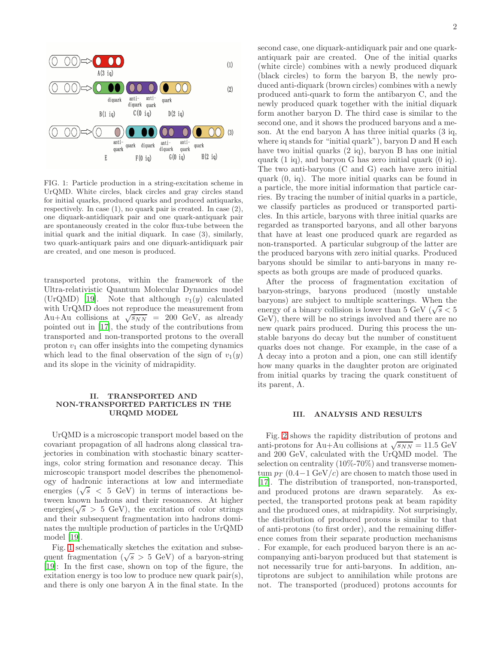

<span id="page-1-0"></span>FIG. 1: Particle production in a string-excitation scheme in UrQMD. White circles, black circles and gray circles stand for initial quarks, produced quarks and produced antiquarks, respectively. In case (1), no quark pair is created. In case (2), one diquark-antidiquark pair and one quark-antiquark pair are spontaneously created in the color flux-tube between the initial quark and the initial diquark. In case (3), similarly, two quark-antiquark pairs and one diquark-antidiquark pair are created, and one meson is produced.

transported protons, within the framework of the Ultra-relativistic Quantum Molecular Dynamics model (UrQMD) [\[19](#page-4-2)]. Note that although  $v_1(y)$  calculated with UrQMD does not reproduce the measurement from Au+Au collisions at  $\sqrt{s_{NN}}$  = 200 GeV, as already pointed out in [\[17](#page-4-1)], the study of the contributions from transported and non-transported protons to the overall proton  $v_1$  can offer insights into the competing dynamics which lead to the final observation of the sign of  $v_1(y)$ and its slope in the vicinity of midrapidity.

## II. TRANSPORTED AND NON-TRANSPORTED PARTICLES IN THE URQMD MODEL

UrQMD is a microscopic transport model based on the covariant propagation of all hadrons along classical trajectories in combination with stochastic binary scatterings, color string formation and resonance decay. This microscopic transport model describes the phenomenology of hadronic interactions at low and intermediate energies  $(\sqrt{s}$  < 5 GeV) in terms of interactions between known hadrons and their resonances. At higher energies( $\sqrt{s} > 5$  GeV), the excitation of color strings and their subsequent fragmentation into hadrons dominates the multiple production of particles in the UrQMD model [\[19](#page-4-2)].

Fig. [1](#page-1-0) schematically sketches the exitation and subsequent fragmentation ( $\sqrt{s} > 5$  GeV) of a baryon-string [\[19\]](#page-4-2): In the first case, shown on top of the figure, the exitation energy is too low to produce new quark pair(s), and there is only one baryon A in the final state. In the

second case, one diquark-antidiquark pair and one quarkantiquark pair are created. One of the initial quarks (white circle) combines with a newly produced diquark (black circles) to form the baryon B, the newly produced anti-diquark (brown circles) combines with a newly produced anti-quark to form the antibaryon C, and the newly produced quark together with the initial diquark form another baryon D. The third case is similar to the second one, and it shows the produced baryons and a meson. At the end baryon A has three initial quarks (3 iq, where iq stands for "initial quark"), baryon D and H each have two initial quarks (2 iq), baryon B has one initial quark (1 iq), and baryon G has zero initial quark (0 iq). The two anti-baryons (C and G) each have zero initial quark (0, iq). The more initial quarks can be found in a particle, the more initial information that particle carries. By tracing the number of initial quarks in a particle, we classify particles as produced or transported particles. In this article, baryons with three initial quarks are regarded as transported baryons, and all other baryons that have at least one produced quark are regarded as non-transported. A particular subgroup of the latter are the produced baryons with zero initial quarks. Produced baryons should be similar to anti-baryons in many respects as both groups are made of produced quarks.

After the process of fragmentation excitation of baryon-strings, baryons produced (mostly unstable baryons) are subject to multiple scatterings. When the energy of a binary collision is lower than 5 GeV ( $\sqrt{s}$  < 5 GeV), there will be no strings involved and there are no new quark pairs produced. During this process the unstable baryons do decay but the number of constituent quarks does not change. For example, in the case of a Λ decay into a proton and a pion, one can still identify how many quarks in the daughter proton are originated from initial quarks by tracing the quark constituent of its parent,  $\Lambda$ .

#### III. ANALYSIS AND RESULTS

Fig. [2](#page-2-0) shows the rapidity distribution of protons and anti-protons for Au+Au collisions at  $\sqrt{s_{NN}}$  = 11.5 GeV and 200 GeV, calculated with the UrQMD model. The selection on centrality (10%-70%) and transverse momentum  $p_T$  (0.4−1 GeV/c) are chosen to match those used in [\[17\]](#page-4-1). The distribution of transported, non-transported, and produced protons are drawn separately. As expected, the transported protons peak at beam rapidity and the produced ones, at midrapidity. Not surprisingly, the distribution of produced protons is similar to that of anti-protons (to first order), and the remaining difference comes from their separate production mechanisms . For example, for each produced baryon there is an accompanying anti-baryon produced but that statement is not necessarily true for anti-baryons. In addition, antiprotons are subject to annihilation while protons are not. The transported (produced) protons accounts for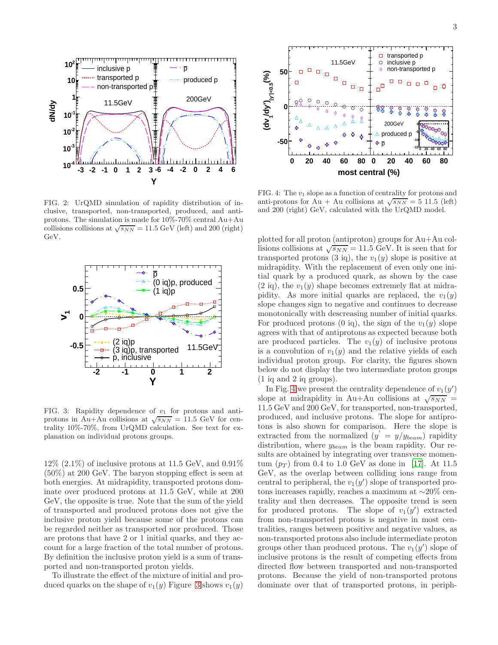

<span id="page-2-0"></span>FIG. 2: UrQMD simulation of rapidity distribution of inclusive, transported, non-transported, produced, and antiprotons. The simulation is made for 10%-70% central Au+Au collisions collisions at  $\sqrt{s_{NN}} = 11.5$  GeV (left) and 200 (right) GeV.



<span id="page-2-1"></span>FIG. 3: Rapidity dependence of  $v_1$  for protons and antiprotons in Au+Au collisions at  $\sqrt{s_{NN}} = 11.5$  GeV for centrality 10%-70%, from UrQMD calculation. See text for explanation on individual protons groups.

 $12\%$  (2.1%) of inclusive protons at 11.5 GeV, and 0.91% (50%) at 200 GeV. The baryon stopping effect is seen at both energies. At midrapidity, transported protons dominate over produced protons at 11.5 GeV, while at 200 GeV, the opposite is true. Note that the sum of the yield of transported and produced protons does not give the inclusive proton yield because some of the protons can be regarded neither as transported nor produced. Those are protons that have 2 or 1 initial quarks, and they account for a large fraction of the total number of protons. By definition the inclusive proton yield is a sum of transported and non-transported proton yields.

To illustrate the effect of the mixture of initial and produced quarks on the shape of  $v_1(y)$  Figure [3](#page-2-1) shows  $v_1(y)$ 



<span id="page-2-2"></span>FIG. 4: The  $v_1$  slope as a function of centrality for protons and anti-protons for Au + Au collisions at  $\sqrt{s_{NN}} = 5$  11.5 (left) and 200 (right) GeV, calculated with the UrQMD model.

plotted for all proton (antiproton) groups for Au+Au collisions collisions at  $\sqrt{s_{NN}} = 11.5 \text{ GeV}$ . It is seen that for transported protons (3 iq), the  $v_1(y)$  slope is positive at midrapidity. With the replacement of even only one initial quark by a produced quark, as shown by the case  $(2 \text{ iq})$ , the  $v_1(y)$  shape becomes extremely flat at midrapidity. As more initial quarks are replaced, the  $v_1(y)$ slope changes sign to negative and continues to decrease monotonically with descreasing number of initial quarks. For produced protons (0 iq), the sign of the  $v_1(y)$  slope agrees with that of antiprotons as expected because both are produced particles. The  $v_1(y)$  of inclusive protons is a convolution of  $v_1(y)$  and the relative yields of each individual proton group. For clarity, the figures shown below do not display the two intermediate proton groups (1 iq and 2 iq groups).

In Fig. [4](#page-2-2) we present the centrality dependence of  $v_1(y')$ slope at midrapidity in Au+Au collisions at  $\sqrt{s_{NN}}$  = 11.5 GeV and 200 GeV, for transported, non-transported, produced, and inclusive protons. The slope for antiprotons is also shown for comparison. Here the slope is extracted from the normalized  $(y' = y/y_{beam})$  rapidity distribution, where  $y_{beam}$  is the beam rapidity. Our results are obtained by integrating over transverse momentum  $(p_T)$  from 0.4 to 1.0 GeV as done in [\[17\]](#page-4-1). At 11.5 GeV, as the overlap between colliding ions range from central to peripheral, the  $v_1(y')$  slope of transported protons increases rapidly, reaches a maximum at ∼20% centrality and then decreases. The opposite trend is seen for produced protons. The slope of  $v_1(y')$  extracted from non-transported protons is negative in most centralities, ranges between positive and negative values, as non-transported protons also include intermediate proton groups other than produced protons. The  $v_1(y')$  slope of inclusive protons is the result of competing effects from directed flow between transported and non-transported protons. Because the yield of non-transported protons dominate over that of transported protons, in periph-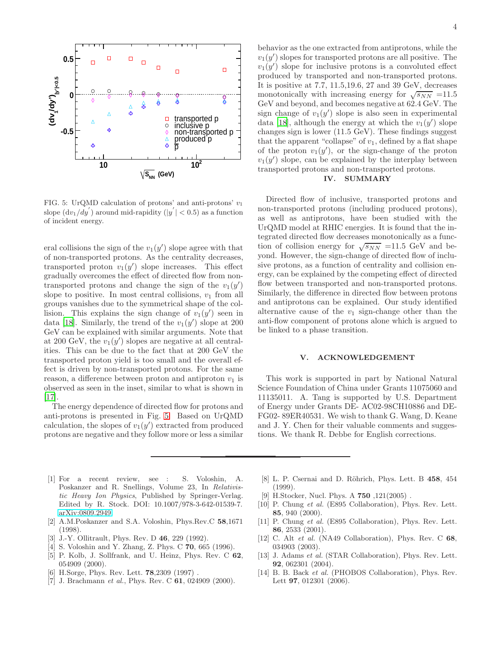

<span id="page-3-11"></span>FIG. 5: UrQMD calculation of protons' and anti-protons' v<sup>1</sup> slope  $\left(\frac{dv_1}{dy}'\right)$  around mid-rapidity  $(|y'| < 0.5)$  as a function of incident energy.

eral collisions the sign of the  $v_1(y')$  slope agree with that of non-transported protons. As the centrality decreases, transported proton  $v_1(y')$  slope increases. This effect gradually overcomes the effect of directed flow from nontransported protons and change the sign of the  $v_1(y')$ slope to positive. In most central collisions,  $v_1$  from all groups vanishes due to the symmetrical shape of the collision. This explains the sign change of  $v_1(y')$  seen in data [\[18\]](#page-4-0). Similarly, the trend of the  $v_1(y')$  slope at 200 GeV can be explained with similar arguments. Note that at 200 GeV, the  $v_1(y')$  slopes are negative at all centralities. This can be due to the fact that at 200 GeV the transported proton yield is too small and the overall effect is driven by non-transported protons. For the same reason, a difference between proton and antiproton  $v_1$  is observed as seen in the inset, similar to what is shown in [\[17\]](#page-4-1).

The energy dependence of directed flow for protons and anti-protons is presented in Fig. [5.](#page-3-11) Based on UrQMD calculation, the slopes of  $v_1(y')$  extracted from produced protons are negative and they follow more or less a similar

behavior as the one extracted from antiprotons, while the  $v_1(y')$  slopes for transported protons are all positive. The  $v_1(y')$  slope for inclusive protons is a convoluted effect produced by transported and non-transported protons. It is positive at 7.7, 11.5,19.6, 27 and 39 GeV, decreases monotonically with increasing energy for  $\sqrt{s_{NN}}$  =11.5 GeV and beyond, and becomes negative at 62.4 GeV. The sign change of  $v_1(y')$  slope is also seen in experimental data [\[18\]](#page-4-0), although the energy at which the  $v_1(y')$  slope changes sign is lower (11.5 GeV). These findings suggest that the apparent "collapse" of  $v_1$ , defined by a flat shape of the proton  $v_1(y')$ , or the sign-change of the proton  $v_1(y')$  slope, can be explained by the interplay between transported protons and non-transported protons.

## IV. SUMMARY

Directed flow of inclusive, transported protons and non-transported protons (including produced protons), as well as antiprotons, have been studied with the UrQMD model at RHIC energies. It is found that the integrated directed flow decreases monotonically as a function of collision energy for  $\sqrt{s_{NN}}$  =11.5 GeV and beyond. However, the sign-change of directed flow of inclusive protons, as a function of centrality and collision energy, can be explained by the competing effect of directed flow between transported and non-transported protons. Similarly, the difference in directed flow between protons and antiprotons can be explained. Our study identified alternative cause of the  $v_1$  sign-change other than the anti-flow component of protons alone which is argued to be linked to a phase transition.

### V. ACKNOWLEDGEMENT

This work is supported in part by National Natural Science Foundation of China under Grants 11075060 and 11135011. A. Tang is supported by U.S. Department of Energy under Grants DE- AC02-98CH10886 and DE-FG02- 89ER40531. We wish to thank G. Wang, D. Keane and J. Y. Chen for their valuable comments and suggestions. We thank R. Debbe for English corrections.

- <span id="page-3-0"></span>[1] For a recent review, see : S. Voloshin, A. Poskanzer and R. Snellings, Volume 23, In Relativistic Heavy Ion Physics, Published by Springer-Verlag. Edited by R. Stock. DOI: 10.1007/978-3-642-01539-7. [arXiv:0809.2949.](http://arxiv.org/abs/0809.2949)
- <span id="page-3-1"></span>[2] A.M.Poskanzer and S.A. Voloshin, Phys.Rev.C 58,1671 (1998).
- <span id="page-3-2"></span>[3] J.-Y. Ollitrault, Phys. Rev. D 46, 229 (1992).
- [4] S. Voloshin and Y. Zhang, Z. Phys. C 70, 665 (1996).
- <span id="page-3-3"></span>[5] P. Kolb, J. Sollfrank, and U. Heinz, Phys. Rev. C 62, 054909 (2000).
- <span id="page-3-4"></span>[6] H.Sorge, Phys. Rev. Lett. **78**, 2309 (1997).
- <span id="page-3-5"></span>[7] J. Brachmann *et al.*, Phys. Rev. C **61**, 024909 (2000).
- [8] L. P. Csernai and D. Röhrich, Phys. Lett. B 458, 454 (1999).
- <span id="page-3-6"></span>[9] H.Stocker, Nucl. Phys. A 750 ,121(2005) .
- <span id="page-3-7"></span>[10] P. Chung et al. (E895 Collaboration), Phys. Rev. Lett. 85, 940 (2000).
- <span id="page-3-8"></span>[11] P. Chung et al. (E895 Collaboration), Phys. Rev. Lett. 86, 2533 (2001).
- <span id="page-3-9"></span>[12] C. Alt et al. (NA49 Collaboration), Phys. Rev. C 68, 034903 (2003).
- <span id="page-3-10"></span>[13] J. Adams et al. (STAR Collaboration), Phys. Rev. Lett. 92, 062301 (2004).
- [14] B. B. Back et al. (PHOBOS Collaboration), Phys. Rev. Lett 97, 012301 (2006).